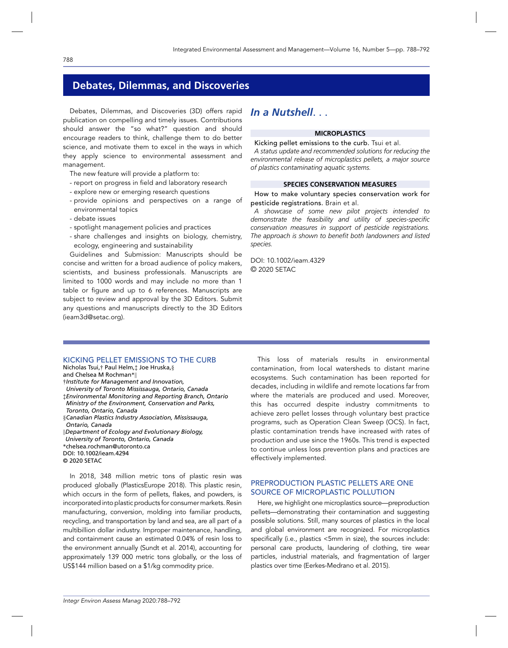Debates, Dilemmas, and Discoveries (3D) offers rapid publication on compelling and timely issues. Contributions should answer the "so what?" question and should encourage readers to think, challenge them to do better science, and motivate them to excel in the ways in which they apply science to environmental assessment and management.

The new feature will provide a platform to:

- report on progress in field and laboratory research
- explore new or emerging research questions
- provide opinions and perspectives on a range of environmental topics
- debate issues
- spotlight management policies and practices
- share challenges and insights on biology, chemistry, ecology, engineering and sustainability

Guidelines and Submission: Manuscripts should be concise and written for a broad audience of policy makers, scientists, and business professionals. Manuscripts are limited to 1000 words and may include no more than 1 table or figure and up to 6 references. Manuscripts are subject to review and approval by the 3D Editors. Submit any questions and manuscripts directly to the 3D Editors (ieam3d@setac.org).

# *In a Nutshell*. . .

### **MICROPLASTICS**

Kicking pellet emissions to the curb. Tsui et al. *A status update and recommended solutions for reducing the environmental release of microplastics pellets, a major source of plastics contaminating aquatic systems.*

#### **SPECIES CONSERVATION MEASURES**

How to make voluntary species conservation work for pesticide registrations. Brain et al.

*A showcase of some new pilot projects intended to*  demonstrate the feasibility and utility of species-specific *conservation measures in support of pesticide registrations.*  The approach is shown to benefit both landowners and listed *species.* 

DOI: 10.1002/ieam.4329 © 2020 SETAC

#### KICKING PELLET EMISSIONS TO THE CURB

Nicholas Tsui,† Paul Helm,‡ Joe Hruska,§

and Chelsea M Rochman\*||

† *Institute for Management and Innovation, University of Toronto Mississauga, Ontario, Canada*

‡ *Environmental Monitoring and Reporting Branch, Ontario Ministry of the Environment, Conservation and Parks, Toronto, Ontario, Canada*

§ *Canadian Plastics Industry Association, Mississauga, Ontario, Canada*

|| *Department of Ecology and Evolutionary Biology, University of Toronto, Ontario, Canada* \*chelsea.rochman@utoronto.ca DOI: 10.1002/ieam.4294 © 2020 SETAC

In 2018, 348 million metric tons of plastic resin was produced globally (PlasticsEurope 2018). This plastic resin, which occurs in the form of pellets, flakes, and powders, is incorporated into plastic products for consumer markets. Resin manufacturing, conversion, molding into familiar products, recycling, and transportation by land and sea, are all part of a multibillion dollar industry. Improper maintenance, handling, and containment cause an estimated 0.04% of resin loss to the environment annually (Sundt et al. 2014), accounting for approximately 139 000 metric tons globally, or the loss of US\$144 million based on a \$1/kg commodity price.

This loss of materials results in environmental contamination, from local watersheds to distant marine ecosystems. Such contamination has been reported for decades, including in wildlife and remote locations far from where the materials are produced and used. Moreover, this has occurred despite industry commitments to achieve zero pellet losses through voluntary best practice programs, such as Operation Clean Sweep (OCS). In fact, plastic contamination trends have increased with rates of production and use since the 1960s. This trend is expected to continue unless loss prevention plans and practices are effectively implemented.

## PREPRODUCTION PLASTIC PELLETS ARE ONE SOURCE OF MICROPLASTIC POLLUTION

Here, we highlight one microplastics source—preproduction pellets—demonstrating their contamination and suggesting possible solutions. Still, many sources of plastics in the local and global environment are recognized. For microplastics specifically (i.e., plastics <5mm in size), the sources include: personal care products, laundering of clothing, tire wear particles, industrial materials, and fragmentation of larger plastics over time (Eerkes-Medrano et al. 2015).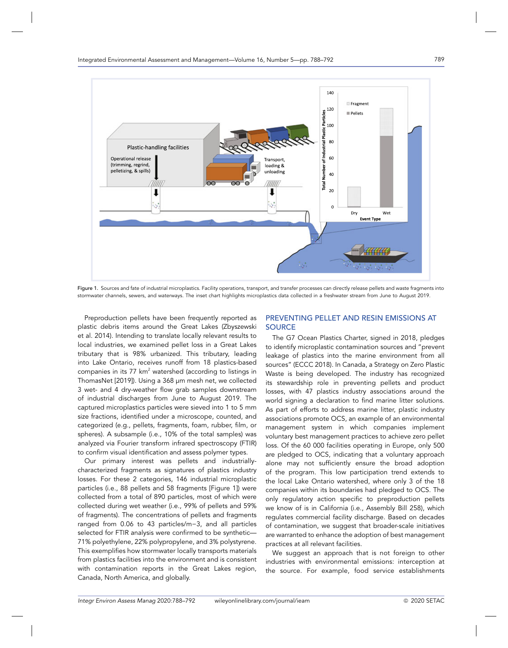

Figure 1. Sources and fate of industrial microplastics. Facility operations, transport, and transfer processes can directly release pellets and waste fragments into stormwater channels, sewers, and waterways. The inset chart highlights microplastics data collected in a freshwater stream from June to August 2019.

Preproduction pellets have been frequently reported as plastic debris items around the Great Lakes (Zbyszewski et al. 2014). Intending to translate locally relevant results to local industries, we examined pellet loss in a Great Lakes tributary that is 98% urbanized. This tributary, leading into Lake Ontario, receives runoff from 18 plastics-based companies in its 77  $km^2$  watershed (according to listings in ThomasNet [2019]). Using a 368 µm mesh net, we collected 3 wet- and 4 dry-weather flow grab samples downstream of industrial discharges from June to August 2019. The captured microplastics particles were sieved into 1 to 5 mm size fractions, identified under a microscope, counted, and categorized (e.g., pellets, fragments, foam, rubber, film, or spheres). A subsample (i.e., 10% of the total samples) was analyzed via Fourier transform infrared spectroscopy (FTIR) to confirm visual identification and assess polymer types.

Our primary interest was pellets and industriallycharacterized fragments as signatures of plastics industry losses. For these 2 categories, 146 industrial microplastic particles (i.e., 88 pellets and 58 fragments [Figure 1]) were collected from a total of 890 particles, most of which were collected during wet weather (i.e., 99% of pellets and 59% of fragments). The concentrations of pellets and fragments ranged from 0.06 to 43 particles/m−3, and all particles selected for FTIR analysis were confirmed to be synthetic-71% polyethylene, 22% polypropylene, and 3% polystyrene. This exemplifies how stormwater locally transports materials from plastics facilities into the environment and is consistent with contamination reports in the Great Lakes region, Canada, North America, and globally.

## PREVENTING PELLET AND RESIN EMISSIONS AT **SOURCE**

The G7 Ocean Plastics Charter, signed in 2018, pledges to identify microplastic contamination sources and "prevent leakage of plastics into the marine environment from all sources" (ECCC 2018). In Canada, a Strategy on Zero Plastic Waste is being developed. The industry has recognized its stewardship role in preventing pellets and product losses, with 47 plastics industry associations around the world signing a declaration to find marine litter solutions. As part of efforts to address marine litter, plastic industry associations promote OCS, an example of an environmental management system in which companies implement voluntary best management practices to achieve zero pellet loss. Of the 60 000 facilities operating in Europe, only 500 are pledged to OCS, indicating that a voluntary approach alone may not sufficiently ensure the broad adoption of the program. This low participation trend extends to the local Lake Ontario watershed, where only 3 of the 18 companies within its boundaries had pledged to OCS. The only regulatory action specific to preproduction pellets we know of is in California (i.e., Assembly Bill 258), which regulates commercial facility discharge. Based on decades of contamination, we suggest that broader-scale initiatives are warranted to enhance the adoption of best management practices at all relevant facilities.

We suggest an approach that is not foreign to other industries with environmental emissions: interception at the source. For example, food service establishments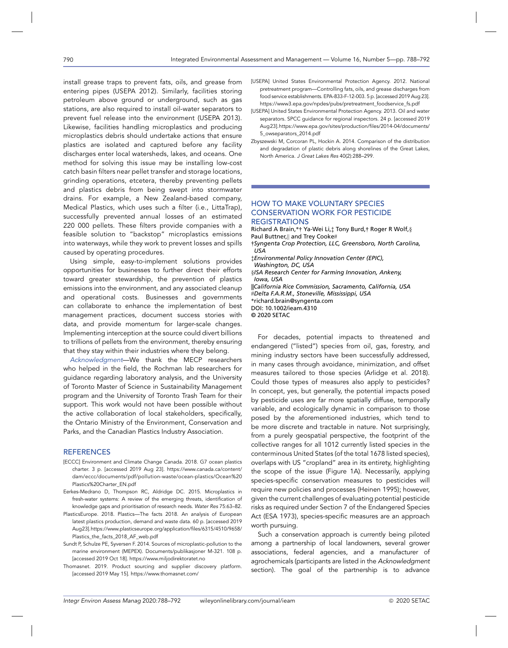install grease traps to prevent fats, oils, and grease from entering pipes (USEPA 2012). Similarly, facilities storing petroleum above ground or underground, such as gas stations, are also required to install oil-water separators to prevent fuel release into the environment (USEPA 2013). Likewise, facilities handling microplastics and producing microplastics debris should undertake actions that ensure plastics are isolated and captured before any facility discharges enter local watersheds, lakes, and oceans. One method for solving this issue may be installing low-cost catch basin filters near pellet transfer and storage locations, grinding operations, etcetera, thereby preventing pellets and plastics debris from being swept into stormwater drains. For example, a New Zealand-based company, Medical Plastics, which uses such a filter (i.e., LittaTrap), successfully prevented annual losses of an estimated 220 000 pellets. These filters provide companies with a feasible solution to "backstop" microplastics emissions into waterways, while they work to prevent losses and spills caused by operating procedures.

Using simple, easy-to-implement solutions provides opportunities for businesses to further direct their efforts toward greater stewardship, the prevention of plastics emissions into the environment, and any associated cleanup and operational costs. Businesses and governments can collaborate to enhance the implementation of best management practices, document success stories with data, and provide momentum for larger-scale changes. Implementing interception at the source could divert billions to trillions of pellets from the environment, thereby ensuring that they stay within their industries where they belong.

*Acknowledgment*—We thank the MECP researchers who helped in the field, the Rochman lab researchers for guidance regarding laboratory analysis, and the University of Toronto Master of Science in Sustainability Management program and the University of Toronto Trash Team for their support. This work would not have been possible without the active collaboration of local stakeholders, specifically, the Ontario Ministry of the Environment, Conservation and Parks, and the Canadian Plastics Industry Association.

#### **REFERENCES**

- [ECCC] Environment and Climate Change Canada. 2018. G7 ocean plastics charter. 3 p. [accessed 2019 Aug 23]. https://www.canada.ca/content/ dam/eccc/documents/pdf/pollution-waste/ocean-plastics/Ocean%20 Plastics%20Charter\_EN.pdf
- Eerkes-Medrano D, Thompson RC, Aldridge DC. 2015. Microplastics in fresh-water systems: A review of the emerging threats, identification of knowledge gaps and prioritisation of research needs. *Water Res* 75:63–82.
- PlasticsEurope. 2018. Plastics—The facts 2018. An analysis of European latest plastics production, demand and waste data. 60 p. [accessed 2019 Aug 23]. https://www.plasticseurope.org/application/files/6315/4510/9658/ Plastics\_the\_facts\_2018\_AF\_web.pdf
- Sundt P, Schulze PE, Syversen F. 2014. Sources of microplastic-pollution to the marine environment (MEPEX). Documents/publikasjoner M-321. 108 p. [accessed 2019 Oct 18]. https://www.miljodirektoratet.no
- Thomasnet. 2019. Product sourcing and supplier discovery platform. [accessed 2019 May 15]. https://www.thomasnet.com/
- [USEPA] United States Environmental Protection Agency. 2012. National pretreatment program—Controlling fats, oils, and grease discharges from food service establishments. EPA-833-F-12-003. 5 p. [accessed 2019 Aug 23]. https://www3.epa.gov/npdes/pubs/pretreatment\_foodservice\_fs.pdf
- [USEPA] United States Environmental Protection Agency. 2013. Oil and water separators. SPCC guidance for regional inspectors. 24 p. [accessed 2019 Aug 23]. https://www.epa.gov/sites/production/files/2014-04/documents/ 5\_owseparators\_2014.pdf
- Zbyszewski M, Corcoran PL, Hockin A. 2014. Comparison of the distribution and degradation of plastic debris along shorelines of the Great Lakes, North America. *J Great Lakes Res* 40(2):288–299.

## HOW TO MAKE VOLUNTARY SPECIES CONSERVATION WORK FOR PESTICIDE REGISTRATIONS

Richard A Brain,\***†** Ya-Wei Li,‡ Tony Burd,**†** Roger R Wolf,§ Paul Buttner, and Trey Cooke# **†** *Syngenta Crop Protection, LLC, Greensboro, North Carolina, USA* ‡*Environmental Policy Innovation Center (EPIC), Washington, DC, USA* §*ISA Research Center for Farming Innovation, Ankeny, Iowa, USA || California Rice Commission, Sacramento, California, USA* # *Delta F.A.R.M., Stoneville, Mississippi, USA* \*richard.brain@syngenta.com DOI: 10.1002/ieam.4310 © 2020 SETAC

For decades, potential impacts to threatened and endangered ("listed") species from oil, gas, forestry, and mining industry sectors have been successfully addressed, in many cases through avoidance, minimization, and offset measures tailored to those species (Arlidge et al. 2018). Could those types of measures also apply to pesticides? In concept, yes, but generally, the potential impacts posed by pesticide uses are far more spatially diffuse, temporally variable, and ecologically dynamic in comparison to those posed by the aforementioned industries, which tend to be more discrete and tractable in nature. Not surprisingly, from a purely geospatial perspective, the footprint of the collective ranges for all 1012 currently listed species in the conterminous United States (of the total 1678 listed species), overlaps with US "cropland" area in its entirety, highlighting the scope of the issue (Figure 1A). Necessarily, applying species-specific conservation measures to pesticides will require new policies and processes (Heinen 1995); however, given the current challenges of evaluating potential pesticide risks as required under Section 7 of the Endangered Species Act (ESA 1973), species-specific measures are an approach worth pursuing.

Such a conservation approach is currently being piloted among a partnership of local landowners, several grower associations, federal agencies, and a manufacturer of agrochemicals (participants are listed in the *Acknowledgment* section). The goal of the partnership is to advance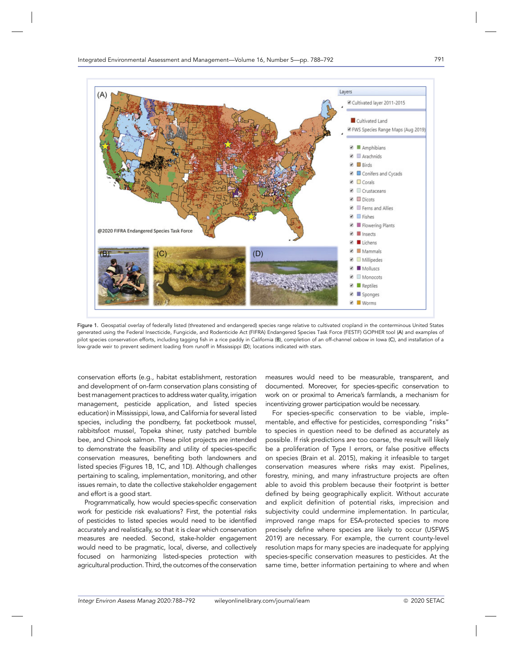

Figure 1. Geospatial overlay of federally listed (threatened and endangered) species range relative to cultivated cropland in the conterminous United States generated using the Federal Insecticide, Fungicide, and Rodenticide Act (FIFRA) Endangered Species Task Force (FESTF) GOPHER tool (A) and examples of pilot species conservation efforts, including tagging fish in a rice paddy in California (B), completion of an off-channel oxbow in Iowa (C), and installation of a low-grade weir to prevent sediment loading from runoff in Mississippi (D); locations indicated with stars.

conservation efforts (e.g., habitat establishment, restoration and development of on-farm conservation plans consisting of best management practices to address water quality, irrigation management, pesticide application, and listed species education) in Mississippi, Iowa, and California for several listed species, including the pondberry, fat pocketbook mussel, rabbitsfoot mussel, Topeka shiner, rusty patched bumble bee, and Chinook salmon. These pilot projects are intended to demonstrate the feasibility and utility of species-specific conservation measures, benefiting both landowners and listed species (Figures 1B, 1C, and 1D). Although challenges pertaining to scaling, implementation, monitoring, and other issues remain, to date the collective stakeholder engagement and effort is a good start.

Programmatically, how would species-specific conservation work for pesticide risk evaluations? First, the potential risks of pesticides to listed species would need to be identified accurately and realistically, so that it is clear which conservation measures are needed. Second, stake-holder engagement would need to be pragmatic, local, diverse, and collectively focused on harmonizing listed-species protection with agricultural production. Third, the outcomes of the conservation

measures would need to be measurable, transparent, and documented. Moreover, for species-specific conservation to work on or proximal to America's farmlands, a mechanism for incentivizing grower participation would be necessary.

For species-specific conservation to be viable, implementable, and effective for pesticides, corresponding "risks" to species in question need to be defined as accurately as possible. If risk predictions are too coarse, the result will likely be a proliferation of Type I errors, or false positive effects on species (Brain et al. 2015), making it infeasible to target conservation measures where risks may exist. Pipelines, forestry, mining, and many infrastructure projects are often able to avoid this problem because their footprint is better defined by being geographically explicit. Without accurate and explicit definition of potential risks, imprecision and subjectivity could undermine implementation. In particular, improved range maps for ESA-protected species to more precisely define where species are likely to occur (USFWS 2019) are necessary. For example, the current county-level resolution maps for many species are inadequate for applying species-specific conservation measures to pesticides. At the same time, better information pertaining to where and when